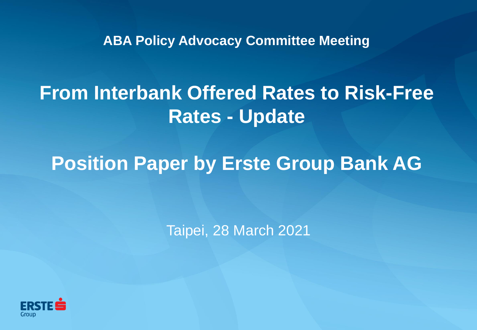**ABA Policy Advocacy Committee Meeting**

# **From Interbank Offered Rates to Risk-Free Rates - Update**

# **Position Paper by Erste Group Bank AG**

Taipei, 28 March 2021

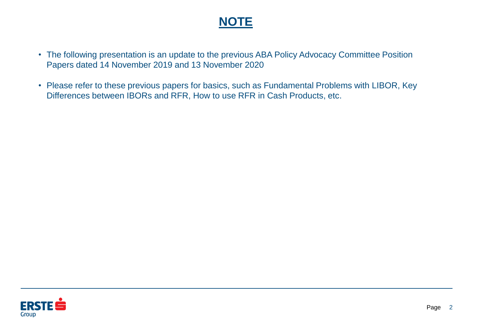#### **NOTE**

- The following presentation is an update to the previous ABA Policy Advocacy Committee Position Papers dated 14 November 2019 and 13 November 2020
- Please refer to these previous papers for basics, such as Fundamental Problems with LIBOR, Key Differences between IBORs and RFR, How to use RFR in Cash Products, etc.

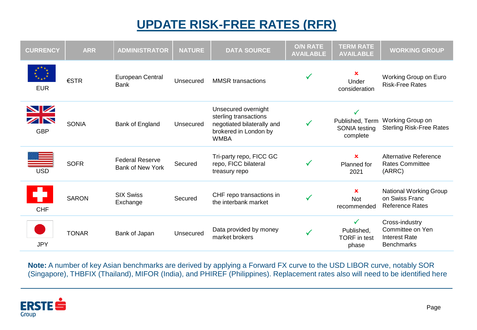## **UPDATE RISK-FREE RATES (RFR)**

| <b>CURRENCY</b>               | <b>ARR</b>   | <b>ADMINISTRATOR</b>                              | <b>NATURE</b> | <b>DATA SOURCE</b>                                                                                                 | <b>O/N RATE</b><br><b>AVAILABLE</b> | <b>TERM RATE</b><br><b>AVAILABLE</b>                         | <b>WORKING GROUP</b>                                                            |
|-------------------------------|--------------|---------------------------------------------------|---------------|--------------------------------------------------------------------------------------------------------------------|-------------------------------------|--------------------------------------------------------------|---------------------------------------------------------------------------------|
| <b>EUR</b>                    | €STR         | European Central<br>Bank                          | Unsecured     | <b>MMSR</b> transactions                                                                                           | ✓                                   | $\mathbf x$<br>Under<br>consideration                        | Working Group on Euro<br><b>Risk-Free Rates</b>                                 |
| <b>NZ</b><br>ZN<br><b>GBP</b> | <b>SONIA</b> | Bank of England                                   | Unsecured     | Unsecured overnight<br>sterling transactions<br>negotiated bilaterally and<br>brokered in London by<br><b>WMBA</b> |                                     | $\checkmark$<br>Published, Term<br>SONIA testing<br>complete | Working Group on<br><b>Sterling Risk-Free Rates</b>                             |
| <b>USD</b>                    | <b>SOFR</b>  | <b>Federal Reserve</b><br><b>Bank of New York</b> | Secured       | Tri-party repo, FICC GC<br>repo, FICC bilateral<br>treasury repo                                                   | $\checkmark$                        | $\mathbf x$<br>Planned for<br>2021                           | <b>Alternative Reference</b><br><b>Rates Committee</b><br>(ARRC)                |
| <b>CHF</b>                    | <b>SARON</b> | <b>SIX Swiss</b><br>Exchange                      | Secured       | CHF repo transactions in<br>the interbank market                                                                   | $\checkmark$                        | $\boldsymbol{\mathsf{x}}$<br><b>Not</b><br>recommended       | National Working Group<br>on Swiss Franc<br><b>Reference Rates</b>              |
| <b>JPY</b>                    | <b>TONAR</b> | Bank of Japan                                     | Unsecured     | Data provided by money<br>market brokers                                                                           | $\checkmark$                        | $\checkmark$<br>Published,<br><b>TORF</b> in test<br>phase   | Cross-industry<br>Committee on Yen<br><b>Interest Rate</b><br><b>Benchmarks</b> |

**Note:** A number of key Asian benchmarks are derived by applying a Forward FX curve to the USD LIBOR curve, notably SOR (Singapore), THBFIX (Thailand), MIFOR (India), and PHIREF (Philippines). Replacement rates also will need to be identified here

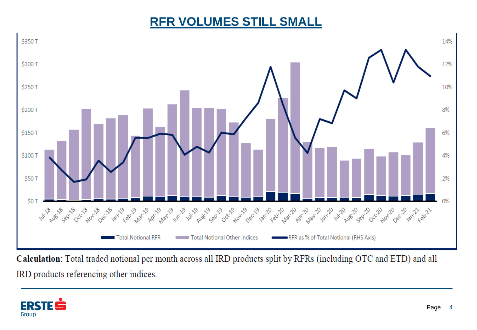### **RFR VOLUMES STILL SMALL**



Calculation: Total traded notional per month across all IRD products split by RFRs (including OTC and ETD) and all IRD products referencing other indices.

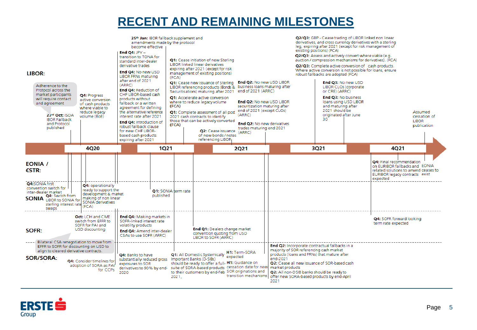### **RECENT AND REMAINING MILESTONES**

| LIBOR:<br>Adherence to the<br>Protocol across the<br>market participants<br>will require contact<br>and agreement<br>23rd Oct: ISDA<br><b>IBOR Fallback</b><br>and Protocol<br>published | Q4: Progress<br>active conversion<br>of cash products<br>where viable to<br>reduce legacy<br>volume (BoE)                                                            | 25th Jan: IBOR fallback supplement and<br>amendments made by the protocol<br>become effective<br>End Q4: $JPY-$<br>transition to TONA for<br>standard inter-dealer<br>derivative trades<br>End Q4: No new USD<br><b>LIBOR FRNs maturing</b><br>after end of 2021<br>(ARRC)<br><b>End Q4: Reduction of</b><br>CHF LIBOR-based cash<br>products without<br>fallback or a written<br>agreement for defining<br>the alternative reference<br>interest rate after 2021<br><b>End Q4: Introduction of</b><br>robust fallback clause<br>for new CHF LIBOR-<br>based cash products<br>expiring after 2021 | (FCA)<br>(FCA)<br>(FCA)                 |       | <b>Q1:</b> Cease initiation of new Sterling<br><b>LIBOR linked linear derivatives</b><br>expiring after 2021 (except for risk<br>management of existing positions)<br><b>Q1:</b> Cease new issuance of Sterling<br>LIBOR referencing products (Bonds &<br>Securitisations) maturing after 2021<br><b>Q1:</b> Accelerate active conversion<br>where to reduce legacy volume<br><b>Q1:</b> Complete assessment of all post<br>2021 cash contracts to identify<br>those that can be actively converted<br>referencing LIBOR | End Q2: No new USD LIBOR<br>business loans maturing after<br>end of 2021 (ARRC)<br>End Q2: No new USD LIBOR<br>securitization maturing after<br>end of 2021 (except CLOs)<br>(ARRC)<br><b>End O2:</b> No new derivatives<br>trades maturing end 2021<br>Q2: Cease issuance (ARRC)<br>of new bonds / notes |                                     | Q2/Q3: GBP - Cease trading of LIBOR linked non linear<br>derivatives, and cross currency derivatives with a sterling<br>leg, expiring after 2021 (except for risk management of<br>existing positions) (FCA)<br>Q2/Q3: Assess and actively convert where viable (e.g.<br>auction / compression mechanisms for derivatives). (FCA)<br>Q2/Q3: Complete active conversion of cash products.<br>Where active conversion is not possible for loans, ensure<br>robust fallbacks are adopted (FCA)<br>End Q3: No new USD<br><b>LIBOR CLOs (corporate)</b><br>or CRE) (ARRC)<br><b>End Q3: No business</b><br>loans using USD LIBOR<br>and maturing after<br>2021 should be<br>originated after June<br>30 | Assumed<br>cessation of<br><b>LIBOR</b><br>publication                                                                                                  |  |
|------------------------------------------------------------------------------------------------------------------------------------------------------------------------------------------|----------------------------------------------------------------------------------------------------------------------------------------------------------------------|---------------------------------------------------------------------------------------------------------------------------------------------------------------------------------------------------------------------------------------------------------------------------------------------------------------------------------------------------------------------------------------------------------------------------------------------------------------------------------------------------------------------------------------------------------------------------------------------------|-----------------------------------------|-------|--------------------------------------------------------------------------------------------------------------------------------------------------------------------------------------------------------------------------------------------------------------------------------------------------------------------------------------------------------------------------------------------------------------------------------------------------------------------------------------------------------------------------|-----------------------------------------------------------------------------------------------------------------------------------------------------------------------------------------------------------------------------------------------------------------------------------------------------------|-------------------------------------|----------------------------------------------------------------------------------------------------------------------------------------------------------------------------------------------------------------------------------------------------------------------------------------------------------------------------------------------------------------------------------------------------------------------------------------------------------------------------------------------------------------------------------------------------------------------------------------------------------------------------------------------------------------------------------------------------|---------------------------------------------------------------------------------------------------------------------------------------------------------|--|
|                                                                                                                                                                                          | <b>4020</b>                                                                                                                                                          |                                                                                                                                                                                                                                                                                                                                                                                                                                                                                                                                                                                                   | 1021                                    |       |                                                                                                                                                                                                                                                                                                                                                                                                                                                                                                                          | 2021                                                                                                                                                                                                                                                                                                      |                                     | 3021                                                                                                                                                                                                                                                                                                                                                                                                                                                                                                                                                                                                                                                                                               | 4021                                                                                                                                                    |  |
| <b>EONIA</b> /<br>€STR:<br>Q4:SONIA first<br>convention switch for<br>inter-dealer market<br><b>SONIA</b> Q4: Switch from<br>sterling interest rate<br>swaps                             | Q4: operationally<br>ready to support the<br>development & market<br>making of non linear<br>SONIA derivatives<br>(FCA)                                              |                                                                                                                                                                                                                                                                                                                                                                                                                                                                                                                                                                                                   | <b>Q1:</b> SONIA term rate<br>published |       |                                                                                                                                                                                                                                                                                                                                                                                                                                                                                                                          |                                                                                                                                                                                                                                                                                                           |                                     |                                                                                                                                                                                                                                                                                                                                                                                                                                                                                                                                                                                                                                                                                                    | <b>Q4:</b> Final recommendation<br>on EURIBOR fallbacks and EONIA<br>related solutions to amend ceases to<br>EURIBOR legacy contracts exist<br>expected |  |
| SOFR:                                                                                                                                                                                    | Oct: LCH and CME<br>switch from EFFR to<br>SOFR for PAI and<br>USD discounting<br>Bilateral CSA renegotiation to move from<br>EFFR to SOFR for discounting on USD to | <b>End Q4:</b> Making markets in<br>SOFR-linked interest rate<br>volatility products<br><b>End O4:</b> Amend inter-dealer<br>CSAs to use SOFR (ARRC)                                                                                                                                                                                                                                                                                                                                                                                                                                              |                                         |       | LIBOR to SOFR (ARRC)                                                                                                                                                                                                                                                                                                                                                                                                                                                                                                     | <b>End Q1: Dealers change market</b><br>convention quoting from USD                                                                                                                                                                                                                                       |                                     | End Q2: Incorporate contractual fallbacks in a                                                                                                                                                                                                                                                                                                                                                                                                                                                                                                                                                                                                                                                     | Q4: SOFR forward looking<br>term rate expected                                                                                                          |  |
| SOR/SORA:                                                                                                                                                                                | align to cleared derivative contracts.<br><b>Q4:</b> Consider timelines for<br>adoption of SORA as PAI<br>for CCPs                                                   | <b>O4:</b> Banks to have<br>substantially reduced gross Important Banks (D-SIBs)<br>exposures to SOR<br>2020                                                                                                                                                                                                                                                                                                                                                                                                                                                                                      |                                         | 2021. | Q1: All Domestic Systemically                                                                                                                                                                                                                                                                                                                                                                                                                                                                                            | H1: Term-SORA<br>expected<br>should be ready to offer a full- H1: Guidance on<br>derivatives to 90% by end- suite of SORA-based products cessation date for new<br>to their customers by end-Feb SOR originations and<br>transition mechanisms                                                            | end-2021<br>market products<br>2021 | majority of SOR referencing cash market<br>products (loans and FRNs) that mature after<br>Q2: Cease all new issuance of SOR-based cash<br>Q2: All non-DSIB banks should be ready to<br>offer new SORA-based products by end-April                                                                                                                                                                                                                                                                                                                                                                                                                                                                  |                                                                                                                                                         |  |

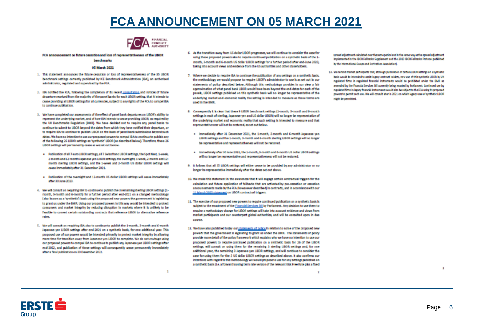### **FCA ANNOUNCEMENT ON 05 MARCH 2021**



1

#### FCA announcement on future cessation and loss of representativeness of the LIBOR

#### banchmarks

#### 05 March 2021

- 1. This statement announces the future cessation or loss of representativeness of the 35 UBOR benchmark settings currently published by ICE Benchmark Administration (IBA), an authorised administrator, regulated and supervised by the FCA.
- 2. IBA notified the RCA, following the completion of its recent consultation and notices of future departure received from the majority of the panel banks for each LIBOR setting, that it intends to cease providing all LIBOR settings for all currencies, subject to any rights of the FCA to compel IBA to continue publication.
- 3. We have completed our assessments of the effect of panel bank departures on LIBOR's ability to represent the underlying market, and of how IBA intends to cease providing LIBOR, as required by the UK Benchmarks Regulation (BMR). We have decided not to require any panel banks to continue to submit to LIBOR beyond the dates from which they have notified their departure, or to require list to continue to publish LiBOR on the basis of panel bank submissions beyond such dates. We have no intention to use our proposed powers to compel IBA to continue to publish any of the following 26 LIBOR settings as "synthetic" LIBOR (as described below). Therefore, these 26 LEOR settings will permanently cease as we set out below.
	- . Publication of all 7 euro LiBOR settings, all 7 Swiss franc LiBOR settings, the Spot Next, 1-week, 2-month and 12-month Japanese yen LIBOR settings, the overnight, 1-week, 2-month and 12month sterling LIBOR settings, and the 1-week and 2-month US dollar LIBOR settings will cease immediately after 31 December 2021.
	- . Publication of the overnight and 12-month US dollar LIBOR settings will cease immediately after 30 June 2023.
- 4. We will consult on requiring IBA to continue to publish the 3 remaining sterling LIBOR settings (1month, 3-month and 6-month) for a further period after end-2021 on a changed methodology (also known as a 'synthetic') basis using the proposed new powers the government is legislating to grant us under the BMR. Using our proposed powers in this way would be intended to protect consumers and market integrity by reducing disruption in markets where it is unlikely to be featible to convert certain outstanding contracts that reference LIBOR to alternative reference **rates.**
- 5. We will consult on requiring IBA also to continue to publish the 1-month, 3-month and 6-month. Japanese yen UBOR settings after end-2021 on a synthetic basis, for one additional year. This proposed use of our powers would be intended primarily to protect market integrity by allowing more time for transition away from Japanese yen LIBOR to complete. We do not envisage using our proposed powers to compel likk to continue to publish any Japanese yen LIBOR settings after end-2022, and publication of these settings will consequently cases permanently immediately after a final publication on 30 December 2022.
- 6. At the transition away from US dollar LIBOR progresses, we will continue to consider the case for using these proposed powers also to require continued publication on a synthetic basis of the 1month, 3-month and 6-month US dollar LIBOR settings for a further period after end-lune 2023, taking into account views and evidence from the US authorities and other stakeholders.
- 7. Where we decide to require IBA to continue the publication of any settings on a synthetic basis. the methodology we would propose to require LIROR's administrator to use is as set out in our statements of policy described below. Although this methodology provides in our view a fair approximation of what panel bank LIBOR would have been beyond the end-dates for each of the panek, LIEOR settings published on this synthetic basis will no longer be representative of the underlying market and economic reality the setting is intended to measure as those terms are small in the BMS.
- 8. Consequently t is clear that these 9 LIEOR benchmark settings (1-month, 3-month and 6-month settings in each of sterling, Japanese yen and US dollar UBOR) will no longer be representative of the underlying market and economic reality that such setting is intended to measure and that representativeness will not be rectored, as set out below.
	- . Immediately after 31 December 2021, the 1-month, 3-month and 6-month Japanese year LIBOR settings and the 1-month, 3-month and 6-month sterling LIBOR settings will no longer be representative and representativeness will not be restored.
	- . Immediately after 30 June 2023, the 1-month, 3-month and 6-month US dollar UBOR netfings will no longer be representative and representativeness will not be restored.
- 9. It follows that all 35 LIBOR settings will either cease to be provided by any administrator or no longer be representative immediately after the dates set out above.
- 10. We make this statement in the awareness that it will engage certain contractual triggent for the calculation and future application of fallbacks that are activated by pre-cessation or cessation amouncements made by the FCA (howsoever described) in contracts, and in accordance with our 11 March 2020 statement on LIBOR contractual triggen.
- 11. The exercise of our proposed new powers to require continued publication on a prothetic basis is subject to the enactment of the Financial Services (iii) by Parliament. Any decision to use them to require a methodology change for LIBOR settings will take into account evidence and views from market participants and our counterpart global authorities, and will be consulted upon in due **COURS**
- 12. We have also published today our statements of policy in relation to some of the proposed new powers that the government is legislating to grant us under the BMR. The statements of policy provide more detail of the policy framework which explains why we have no intention to use our proposed powers to require continued publication on a synthetic basis for 26 of the LIBOR setting, will consult on using them for the remaining 3 sterling LIBOR settings and, for one additional year, the remaining 3 ispanese yen LIBOR settings, and will continue to consider the case for using them for the 3 US dollar LIBOR settings as described above. It also confirms our intentions with regard to the methodology we would propose to use for any settings published on a synthetic basis (Le. a forward looking term rate version of the relevant Risk Free Rate plus a floed

Þ

spread adjustment calculated over the same period and in the same way as the spread adjustment Implemented in the IBOR Fallbacks Supplement and the 2020 IBOR Fallbacks Protocol published by the international Swaps and Derivatives Association).

13. We remind market garticipants that, although publication of certain LIBOR settings on a synthetic basis would be intended to assist legacy contract holders, new use of this synthetic LIBOR by UK regulated firms in regulated financial instruments would be prohibited under the BMR as amended by the Financial Services (iii) currently being enacted by Farliament. Continued use by regulated firms in legacy financial instruments would also be subject to the FCA using its proposed powers to permit such use. We will consult inter in 2021 on which legacy uses of synthetic LIBOR might be permitted.



 $\blacksquare$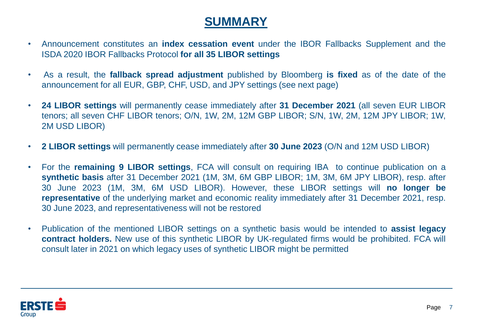#### **SUMMARY**

- Announcement constitutes an **index cessation event** under the IBOR Fallbacks Supplement and the ISDA 2020 IBOR Fallbacks Protocol **for all 35 LIBOR settings**
- As a result, the **fallback spread adjustment** published by Bloomberg **is fixed** as of the date of the announcement for all EUR, GBP, CHF, USD, and JPY settings (see next page)
- **24 LIBOR settings** will permanently cease immediately after **31 December 2021** (all seven EUR LIBOR tenors; all seven CHF LIBOR tenors; O/N, 1W, 2M, 12M GBP LIBOR; S/N, 1W, 2M, 12M JPY LIBOR; 1W, 2M USD LIBOR)
- **2 LIBOR settings** will permanently cease immediately after **30 June 2023** (O/N and 12M USD LIBOR)
- For the **remaining 9 LIBOR settings**, FCA will consult on requiring IBA to continue publication on a **synthetic basis** after 31 December 2021 (1M, 3M, 6M GBP LIBOR; 1M, 3M, 6M JPY LIBOR), resp. after 30 June 2023 (1M, 3M, 6M USD LIBOR). However, these LIBOR settings will **no longer be representative** of the underlying market and economic reality immediately after 31 December 2021, resp. 30 June 2023, and representativeness will not be restored
- Publication of the mentioned LIBOR settings on a synthetic basis would be intended to **assist legacy contract holders.** New use of this synthetic LIBOR by UK-regulated firms would be prohibited. FCA will consult later in 2021 on which legacy uses of synthetic LIBOR might be permitted

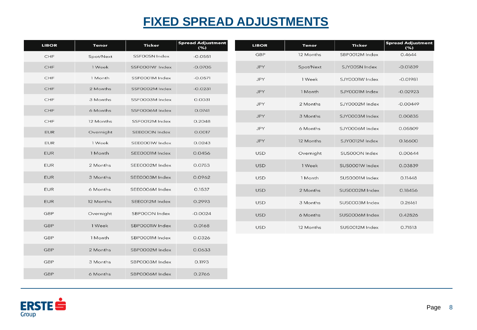### **FIXED SPREAD ADJUSTMENTS**

| <b>LIBOR</b> | <b>Tenor</b> | <b>Ticker</b>  | <b>Spread Adjustment</b> | <b>LIBOR</b> | <b>Tenor</b> | <b>Ticker</b>  | <b>Spread Adjustment</b> |
|--------------|--------------|----------------|--------------------------|--------------|--------------|----------------|--------------------------|
|              |              |                | (% )                     | <b>GBP</b>   | 12 Months    | SBP0012M Index | (%)<br>0.4644            |
| CHF          | Spot/Next    | SSFOOSN Index  | $-0.0551$                |              |              |                |                          |
| CHF          | 1 Week       | SSF0001W Index | $-0.0705$                | <b>JPY</b>   | Spot/Next    | SJY00SN Index  | $-0.01839$               |
| CHF          | 1 Month      | SSF0001M Index | $-0.0571$                | <b>JPY</b>   | 1 Week       | SJY0001W Index | $-0.01981$               |
| CHF          | 2 Months     | SSF0002M Index | $-0.0231$                | <b>JPY</b>   | 1 Month      | SJY0001M Index | $-0.02923$               |
| CHF          | 3 Months     | SSF0003M Index | 0.0031                   | <b>JPY</b>   | 2 Months     | SJY0002M Index | $-0.00449$               |
| CHF          | 6 Months     | SSF0006M Index | 0.0741                   |              |              |                |                          |
| CHF          | 12 Months    | SSF0012M Index | 0.2048                   | <b>JPY</b>   | 3 Months     | SJY0003M Index | 0.00835                  |
| <b>EUR</b>   | Overnight    | SEE00ON Index  | 0.0017                   | <b>JPY</b>   | 6 Months     | SJY0006M Index | 0.05809                  |
| <b>EUR</b>   | 1 Week       | SEE0001W Index | 0.0243                   | <b>JPY</b>   | 12 Months    | SJY0012M Index | 0.16600                  |
| <b>EUR</b>   | 1 Month      | SEE0001M Index | 0.0456                   | <b>USD</b>   | Overnight    | SUS00ON Index  | 0.00644                  |
| <b>EUR</b>   | 2 Months     | SEE0002M Index | 0.0753                   | <b>USD</b>   | 1 Week       | SUS0001W Index | 0.03839                  |
| <b>EUR</b>   | 3 Months     | SEE0003M Index | 0.0962                   | <b>USD</b>   | 1 Month      | SUS0001M Index | 0.11448                  |
| <b>EUR</b>   | 6 Months     | SEE0006M Index | 0.1537                   | <b>USD</b>   | 2 Months     | SUS0002M Index | 0.18456                  |
| <b>EUR</b>   | 12 Months    | SEE0012M Index | 0.2993                   | <b>USD</b>   | 3 Months     | SUS0003M Index | 0.26161                  |
| <b>GBP</b>   | Overnight    | SBP00ON Index  | $-0.0024$                | <b>USD</b>   | 6 Months     | SUS0006M Index | 0.42826                  |
| <b>GBP</b>   | 1 Week       | SBP0001W Index | 0.0168                   | <b>USD</b>   | 12 Months    | SUS0012M Index | 0.71513                  |
| <b>GBP</b>   | 1 Month      | SBP0001M Index | 0.0326                   |              |              |                |                          |
| <b>GBP</b>   | 2 Months     | SBP0002M Index | 0.0633                   |              |              |                |                          |
| <b>GBP</b>   | 3 Months     | SBP0003M Index | 0.1193                   |              |              |                |                          |
| <b>GBP</b>   | 6 Months     | SBP0006M Index | 0.2766                   |              |              |                |                          |

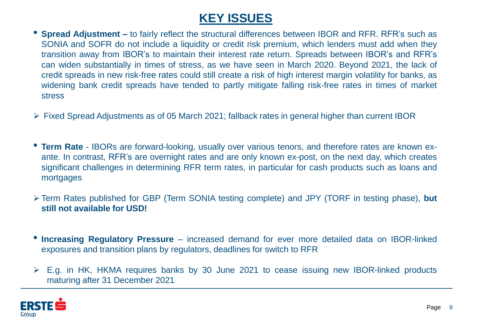### **KEY ISSUES**

- **Spread Adjustment –** to fairly reflect the structural differences between IBOR and RFR. RFR's such as SONIA and SOFR do not include a liquidity or credit risk premium, which lenders must add when they transition away from IBOR's to maintain their interest rate return. Spreads between IBOR's and RFR's can widen substantially in times of stress, as we have seen in March 2020. Beyond 2021, the lack of credit spreads in new risk-free rates could still create a risk of high interest margin volatility for banks, as widening bank credit spreads have tended to partly mitigate falling risk-free rates in times of market stress
- Fixed Spread Adjustments as of 05 March 2021; fallback rates in general higher than current IBOR
- **Term Rate** IBORs are forward-looking, usually over various tenors, and therefore rates are known exante. In contrast, RFR's are overnight rates and are only known ex-post, on the next day, which creates significant challenges in determining RFR term rates, in particular for cash products such as loans and mortgages
- Term Rates published for GBP (Term SONIA testing complete) and JPY (TORF in testing phase), **but still not available for USD!**
- **Increasing Regulatory Pressure** increased demand for ever more detailed data on IBOR-linked exposures and transition plans by regulators, deadlines for switch to RFR
- E.g. in HK, HKMA requires banks by 30 June 2021 to cease issuing new IBOR-linked products maturing after 31 December 2021

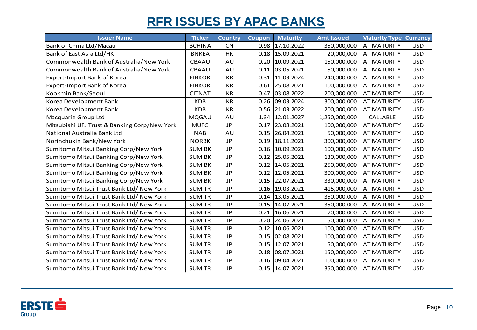### **RFR ISSUES BY APAC BANKS**

| <b>RFR ISSUES BY APAC BANKS</b>              |               |                      |        |                     |                   |                      |                 |
|----------------------------------------------|---------------|----------------------|--------|---------------------|-------------------|----------------------|-----------------|
| <b>Issuer Name</b>                           | <b>Ticker</b> | <b>Country</b>       | Coupon | <b>Maturity</b>     | <b>Amt Issued</b> | <b>Maturity Type</b> | <b>Currency</b> |
| Bank of China Ltd/Macau                      | <b>BCHINA</b> | <b>CN</b>            |        | 0.98 17.10.2022     | 350,000,000       | <b>AT MATURITY</b>   | <b>USD</b>      |
| Bank of East Asia Ltd/HK                     | <b>BNKEA</b>  | HK                   |        | $0.18$   15.09.2021 | 20,000,000        | <b>AT MATURITY</b>   | <b>USD</b>      |
| Commonwealth Bank of Australia/New York      | CBAAU         | AU                   |        | $0.20$ 10.09.2021   | 150,000,000       | <b>AT MATURITY</b>   | <b>USD</b>      |
| Commonwealth Bank of Australia/New York      | CBAAU         | AU                   |        | $0.11$ 03.05.2021   | 50,000,000        | <b>AT MATURITY</b>   | <b>USD</b>      |
| Export-Import Bank of Korea                  | <b>EIBKOR</b> | KR                   | 0.31   | 11.03.2024          | 240,000,000       | AT MATURITY          | <b>USD</b>      |
| <b>Export-Import Bank of Korea</b>           | <b>EIBKOR</b> | KR                   |        | 0.61 25.08.2021     | 100,000,000       | <b>AT MATURITY</b>   | <b>USD</b>      |
| Kookmin Bank/Seoul                           | <b>CITNAT</b> | KR                   |        | $0.47$ 03.08.2022   | 200,000,000       | <b>AT MATURITY</b>   | <b>USD</b>      |
| Korea Development Bank                       | <b>KDB</b>    | $\mathsf{KR}\xspace$ | 0.26   | 09.03.2024          | 300,000,000       | AT MATURITY          | <b>USD</b>      |
| Korea Development Bank                       | <b>KDB</b>    | KR                   |        | 0.56 21.03.2022     | 200,000,000       | <b>AT MATURITY</b>   | <b>USD</b>      |
| Macquarie Group Ltd                          | MQGAU         | AU                   |        | 1.34 12.01.2027     | 1,250,000,000     | <b>CALLABLE</b>      | <b>USD</b>      |
| Mitsubishi UFJ Trust & Banking Corp/New York | <b>MUFG</b>   | <b>JP</b>            |        | 0.17 23.08.2021     | 100,000,000       | <b>AT MATURITY</b>   | <b>USD</b>      |
| National Australia Bank Ltd                  | <b>NAB</b>    | AU                   |        | 0.15 26.04.2021     | 50,000,000        | <b>AT MATURITY</b>   | <b>USD</b>      |
| Norinchukin Bank/New York                    | <b>NORBK</b>  | JP                   |        | $0.19$   18.11.2021 | 300,000,000       | AT MATURITY          | <b>USD</b>      |
| Sumitomo Mitsui Banking Corp/New York        | <b>SUMIBK</b> | <b>JP</b>            |        | 0.16 10.09.2021     | 100,000,000       | <b>AT MATURITY</b>   | <b>USD</b>      |
| Sumitomo Mitsui Banking Corp/New York        | <b>SUMIBK</b> | <b>JP</b>            |        | 0.12 25.05.2021     | 130,000,000       | <b>AT MATURITY</b>   | <b>USD</b>      |
| Sumitomo Mitsui Banking Corp/New York        | <b>SUMIBK</b> | <b>JP</b>            |        | 0.12 14.05.2021     | 250,000,000       | <b>AT MATURITY</b>   | <b>USD</b>      |
| Sumitomo Mitsui Banking Corp/New York        | <b>SUMIBK</b> | <b>JP</b>            |        | $0.12$   12.05.2021 | 300,000,000       | <b>AT MATURITY</b>   | <b>USD</b>      |
| Sumitomo Mitsui Banking Corp/New York        | <b>SUMIBK</b> | <b>JP</b>            |        | 0.15 22.07.2021     | 330,000,000       | AT MATURITY          | <b>USD</b>      |
| Sumitomo Mitsui Trust Bank Ltd/ New York     | <b>SUMITR</b> | <b>JP</b>            |        | $0.16$   19.03.2021 | 415,000,000       | <b>AT MATURITY</b>   | <b>USD</b>      |
| Sumitomo Mitsui Trust Bank Ltd/ New York     | <b>SUMITR</b> | JP                   |        | 0.14 13.05.2021     | 350,000,000       | <b>AT MATURITY</b>   | <b>USD</b>      |
| Sumitomo Mitsui Trust Bank Ltd/ New York     | <b>SUMITR</b> | <b>JP</b>            |        | $0.15$   14.07.2021 | 350,000,000       | <b>AT MATURITY</b>   | <b>USD</b>      |
| Sumitomo Mitsui Trust Bank Ltd/ New York     | <b>SUMITR</b> | <b>JP</b>            |        | $0.21$ 16.06.2021   | 70,000,000        | <b>AT MATURITY</b>   | <b>USD</b>      |
| Sumitomo Mitsui Trust Bank Ltd/ New York     | <b>SUMITR</b> | <b>JP</b>            |        | 0.20 24.06.2021     | 50,000,000        | AT MATURITY          | <b>USD</b>      |
| Sumitomo Mitsui Trust Bank Ltd/ New York     | <b>SUMITR</b> | <b>JP</b>            |        | $0.12$ 10.06.2021   | 100,000,000       | <b>AT MATURITY</b>   | <b>USD</b>      |
| Sumitomo Mitsui Trust Bank Ltd/ New York     | <b>SUMITR</b> | <b>JP</b>            |        | $0.15$ 02.08.2021   | 100,000,000       | <b>AT MATURITY</b>   | <b>USD</b>      |
| Sumitomo Mitsui Trust Bank Ltd/ New York     | <b>SUMITR</b> | JP                   |        | $0.15$   12.07.2021 | 50,000,000        | <b>AT MATURITY</b>   | <b>USD</b>      |
| Sumitomo Mitsui Trust Bank Ltd/ New York     | <b>SUMITR</b> | JP                   |        | 0.18 08.07.2021     | 150,000,000       | AT MATURITY          | <b>USD</b>      |
| Sumitomo Mitsui Trust Bank Ltd/ New York     | <b>SUMITR</b> | JP                   |        | 0.16 09.04.2021     | 100,000,000       | AT MATURITY          | <b>USD</b>      |
| Sumitomo Mitsui Trust Bank Ltd/ New York     | <b>SUMITR</b> | <b>JP</b>            |        | 0.15 14.07.2021     | 350,000,000       | <b>AT MATURITY</b>   | <b>USD</b>      |

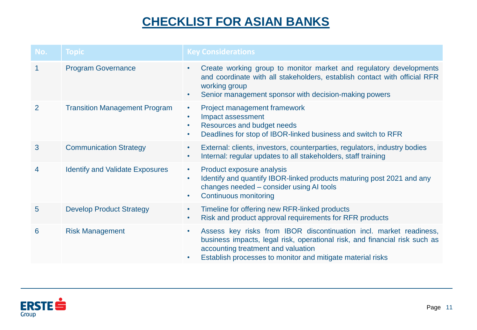### **CHECKLIST FOR ASIAN BANKS**

| No.            | <b>Topic</b>                           | <b>Key Considerations</b>                                                                                                                                                                                                                                         |
|----------------|----------------------------------------|-------------------------------------------------------------------------------------------------------------------------------------------------------------------------------------------------------------------------------------------------------------------|
| 1              | <b>Program Governance</b>              | Create working group to monitor market and regulatory developments<br>$\bullet$<br>and coordinate with all stakeholders, establish contact with official RFR<br>working group<br>Senior management sponsor with decision-making powers<br>٠                       |
| $\overline{2}$ | <b>Transition Management Program</b>   | Project management framework<br>$\bullet$<br>Impact assessment<br>$\bullet$<br>Resources and budget needs<br>$\bullet$<br>Deadlines for stop of IBOR-linked business and switch to RFR<br>$\bullet$                                                               |
| 3              | <b>Communication Strategy</b>          | External: clients, investors, counterparties, regulators, industry bodies<br>$\bullet$<br>Internal: regular updates to all stakeholders, staff training<br>$\bullet$                                                                                              |
| 4              | <b>Identify and Validate Exposures</b> | Product exposure analysis<br>٠<br>Identify and quantify IBOR-linked products maturing post 2021 and any<br>$\bullet$<br>changes needed - consider using AI tools<br><b>Continuous monitoring</b><br>$\bullet$                                                     |
| 5              | <b>Develop Product Strategy</b>        | Timeline for offering new RFR-linked products<br>$\bullet$<br>Risk and product approval requirements for RFR products<br>$\bullet$                                                                                                                                |
| 6              | <b>Risk Management</b>                 | Assess key risks from IBOR discontinuation incl. market readiness,<br>$\bullet$<br>business impacts, legal risk, operational risk, and financial risk such as<br>accounting treatment and valuation<br>Establish processes to monitor and mitigate material risks |

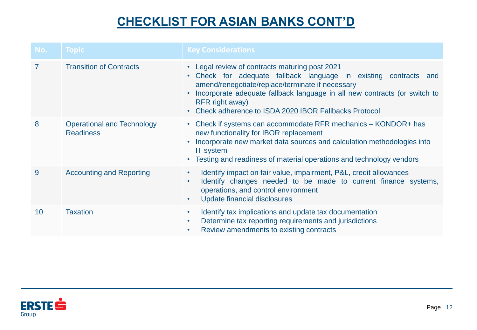### **CHECKLIST FOR ASIAN BANKS CONT'D**

| No.            | <b>Topic</b>                                          | <b>Key Considerations</b>                                                                                                                                                                                                                                                                                                      |
|----------------|-------------------------------------------------------|--------------------------------------------------------------------------------------------------------------------------------------------------------------------------------------------------------------------------------------------------------------------------------------------------------------------------------|
| $\overline{7}$ | <b>Transition of Contracts</b>                        | • Legal review of contracts maturing post 2021<br>Check for adequate fallback language in existing contracts and<br>amend/renegotiate/replace/terminate if necessary<br>Incorporate adequate fallback language in all new contracts (or switch to<br>RFR right away)<br>• Check adherence to ISDA 2020 IBOR Fallbacks Protocol |
| 8              | <b>Operational and Technology</b><br><b>Readiness</b> | • Check if systems can accommodate RFR mechanics – KONDOR+ has<br>new functionality for IBOR replacement<br>Incorporate new market data sources and calculation methodologies into<br><b>IT</b> system<br>• Testing and readiness of material operations and technology vendors                                                |
| 9              | <b>Accounting and Reporting</b>                       | Identify impact on fair value, impairment, P&L, credit allowances<br>$\bullet$<br>Identify changes needed to be made to current finance systems,<br>$\bullet$<br>operations, and control environment<br>Update financial disclosures<br>$\bullet$                                                                              |
| 10             | <b>Taxation</b>                                       | Identify tax implications and update tax documentation<br>$\bullet$<br>Determine tax reporting requirements and jurisdictions<br>$\bullet$<br>Review amendments to existing contracts<br>$\bullet$                                                                                                                             |

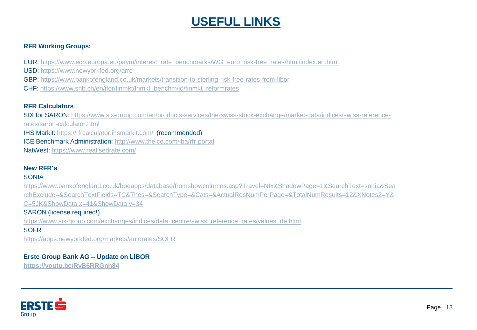#### **USEFUL LINKS**

#### **RFR Working Groups:**

- EUR: [https://www.ecb.europa.eu/paym/interest\\_rate\\_benchmarks/WG\\_euro\\_risk-free\\_rates/html/index.en.html](https://www.ecb.europa.eu/paym/interest_rate_benchmarks/WG_euro_risk-free_rates/html/index.en.html)
- USD:<https://www.newyorkfed.org/arrc>
- GBP:<https://www.bankofengland.co.uk/markets/transition-to-sterling-risk-free-rates-from-libor>
- CHF: [https://www.snb.ch/en/ifor/finmkt/fnmkt\\_benchm/id/finmkt\\_reformrates](https://www.snb.ch/en/ifor/finmkt/fnmkt_benchm/id/finmkt_reformrates)

#### **RFR Calculators**

[SIX for SARON: https://www.six-group.com/en/products-services/the-swiss-stock-exchange/market-data/indices/swiss-reference](https://www.six-group.com/en/products-services/the-swiss-stock-exchange/market-data/indices/swiss-reference-rates/saron-calculator.html)rates/saron-calculator.html IHS Markit:<https://rfrcalculator.ihsmarkit.com/> (recommended) ICE Benchmark Administration: <http://www.theice.com/iba/rfr-portal>

NatWest:<https://www.realisedrate.com/>

#### **New RFR´s**

#### **SONIA**

https://www.bankofengland.co.uk/boeapps/database/fromshowcolumns.asp?Travel=NIx&ShadowPage=1&SearchText=sonia&Sea [rchExclude=&SearchTextFields=TC&Thes=&SearchType=&Cats=&ActualResNumPerPage=&TotalNumResults=12&XNotes2=Y&](https://www.bankofengland.co.uk/boeapps/database/fromshowcolumns.asp?Travel=NIx&ShadowPage=1&SearchText=sonia&SearchExclude=&SearchTextFields=TC&Thes=&SearchType=&Cats=&ActualResNumPerPage=&TotalNumResults=12&XNotes2=Y&C=5JK&ShowData.x=41&ShowData.y=34) C=5JK&ShowData.x=41&ShowData.y=34

#### SARON (license required!)

[https://www.six-group.com/exchanges/indices/data\\_centre/swiss\\_reference\\_rates/values\\_de.html](https://www.six-group.com/exchanges/indices/data_centre/swiss_reference_rates/values_de.html)

#### **SOFR**

<https://apps.newyorkfed.org/markets/autorates/SOFR>

#### **Erste Group Bank AG – Update on LIBOR**

**<https://youtu.be/RyB6RRGnh84>**

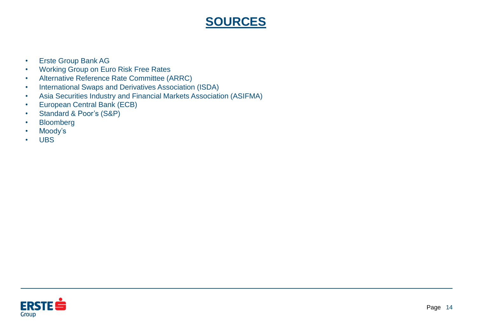#### **SOURCES**

- Erste Group Bank AG
- Working Group on Euro Risk Free Rates
- Alternative Reference Rate Committee (ARRC)
- International Swaps and Derivatives Association (ISDA)
- Asia Securities Industry and Financial Markets Association (ASIFMA)
- European Central Bank (ECB)
- Standard & Poor's (S&P)
- Bloomberg
- Moody's
- UBS